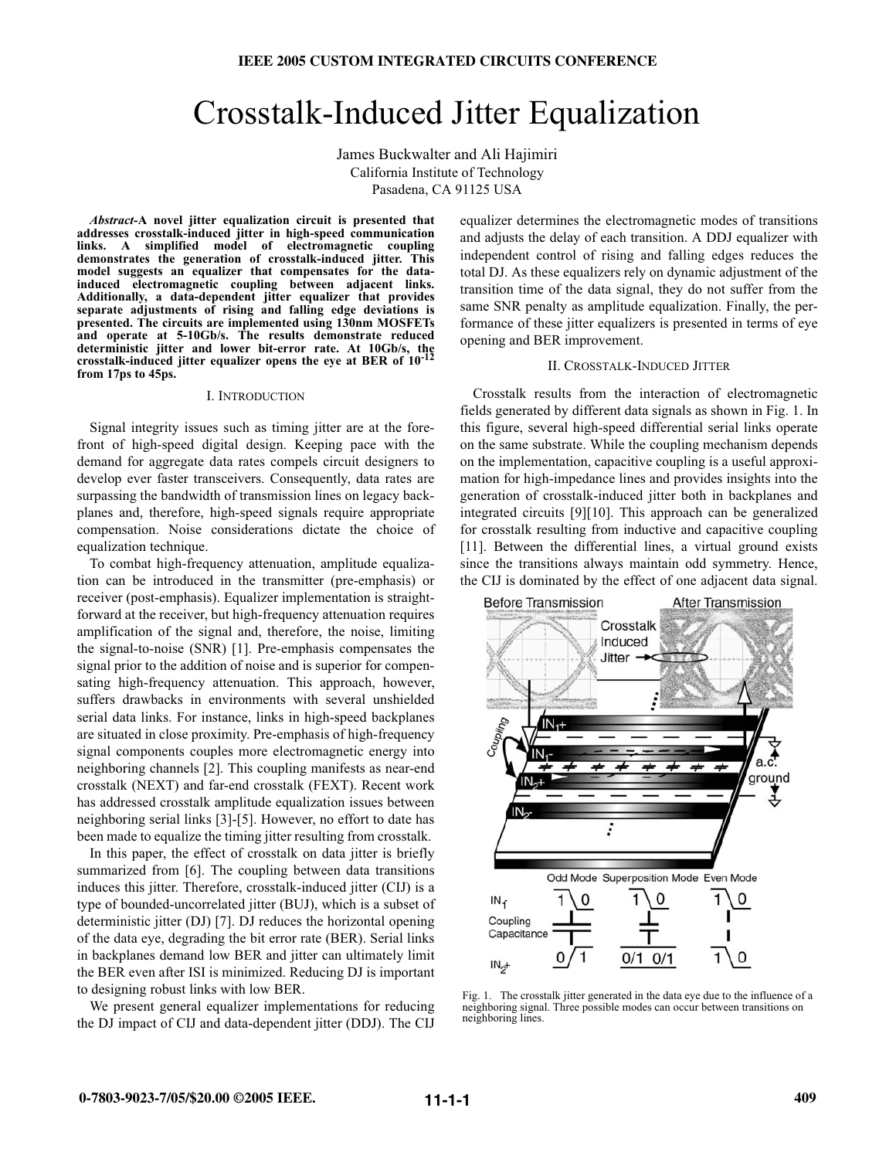# Crosstalk-Induced Jitter Equalization

James Buckwalter and Ali Hajimiri California Institute of Technology Pasadena, CA 91125 USA

*Abstract-***A novel jitter equalization circuit is presented that addresses crosstalk-induced jitter in high-speed communication** links. A simplified model of electromagnetic **demonstrates the generation of crosstalk-induced jitter. This model suggests an equalizer that compensates for the datainduced electromagnetic coupling between adjacent links. Additionally, a data-dependent jitter equalizer that provides separate adjustments of rising and falling edge deviations is presented. The circuits are implemented using 130nm MOSFETs and operate at 5-10Gb/s. The results demonstrate reduced deterministic jitter and lower bit-error rate. At 10Gb/s, the crosstalk-induced jitter equalizer opens the eye at BER of 10-12 from 17ps to 45ps.**

# I. INTRODUCTION

Signal integrity issues such as timing jitter are at the forefront of high-speed digital design. Keeping pace with the demand for aggregate data rates compels circuit designers to develop ever faster transceivers. Consequently, data rates are surpassing the bandwidth of transmission lines on legacy backplanes and, therefore, high-speed signals require appropriate compensation. Noise considerations dictate the choice of equalization technique.

To combat high-frequency attenuation, amplitude equalization can be introduced in the transmitter (pre-emphasis) or receiver (post-emphasis). Equalizer implementation is straightforward at the receiver, but high-frequency attenuation requires amplification of the signal and, therefore, the noise, limiting the signal-to-noise (SNR) [1]. Pre-emphasis compensates the signal prior to the addition of noise and is superior for compensating high-frequency attenuation. This approach, however, suffers drawbacks in environments with several unshielded serial data links. For instance, links in high-speed backplanes are situated in close proximity. Pre-emphasis of high-frequency signal components couples more electromagnetic energy into neighboring channels [2]. This coupling manifests as near-end crosstalk (NEXT) and far-end crosstalk (FEXT). Recent work has addressed crosstalk amplitude equalization issues between neighboring serial links [3]-[5]. However, no effort to date has been made to equalize the timing jitter resulting from crosstalk.

In this paper, the effect of crosstalk on data jitter is briefly summarized from [6]. The coupling between data transitions induces this jitter. Therefore, crosstalk-induced jitter (CIJ) is a type of bounded-uncorrelated jitter (BUJ), which is a subset of deterministic jitter (DJ) [7]. DJ reduces the horizontal opening of the data eye, degrading the bit error rate (BER). Serial links in backplanes demand low BER and jitter can ultimately limit the BER even after ISI is minimized. Reducing DJ is important to designing robust links with low BER.

We present general equalizer implementations for reducing the DJ impact of CIJ and data-dependent jitter (DDJ). The CIJ

equalizer determines the electromagnetic modes of transitions and adjusts the delay of each transition. A DDJ equalizer with independent control of rising and falling edges reduces the total DJ. As these equalizers rely on dynamic adjustment of the transition time of the data signal, they do not suffer from the same SNR penalty as amplitude equalization. Finally, the performance of these jitter equalizers is presented in terms of eye opening and BER improvement.

# II. CROSSTALK-INDUCED JITTER

Crosstalk results from the interaction of electromagnetic fields generated by different data signals as shown in Fig. 1. In this figure, several high-speed differential serial links operate on the same substrate. While the coupling mechanism depends on the implementation, capacitive coupling is a useful approximation for high-impedance lines and provides insights into the generation of crosstalk-induced jitter both in backplanes and integrated circuits [9][10]. This approach can be generalized for crosstalk resulting from inductive and capacitive coupling [11]. Between the differential lines, a virtual ground exists since the transitions always maintain odd symmetry. Hence, the CIJ is dominated by the effect of one adjacent data signal.



Fig. 1. The crosstalk jitter generated in the data eye due to the influence of a neighboring signal. Three possible modes can occur between transitions on neighboring lines.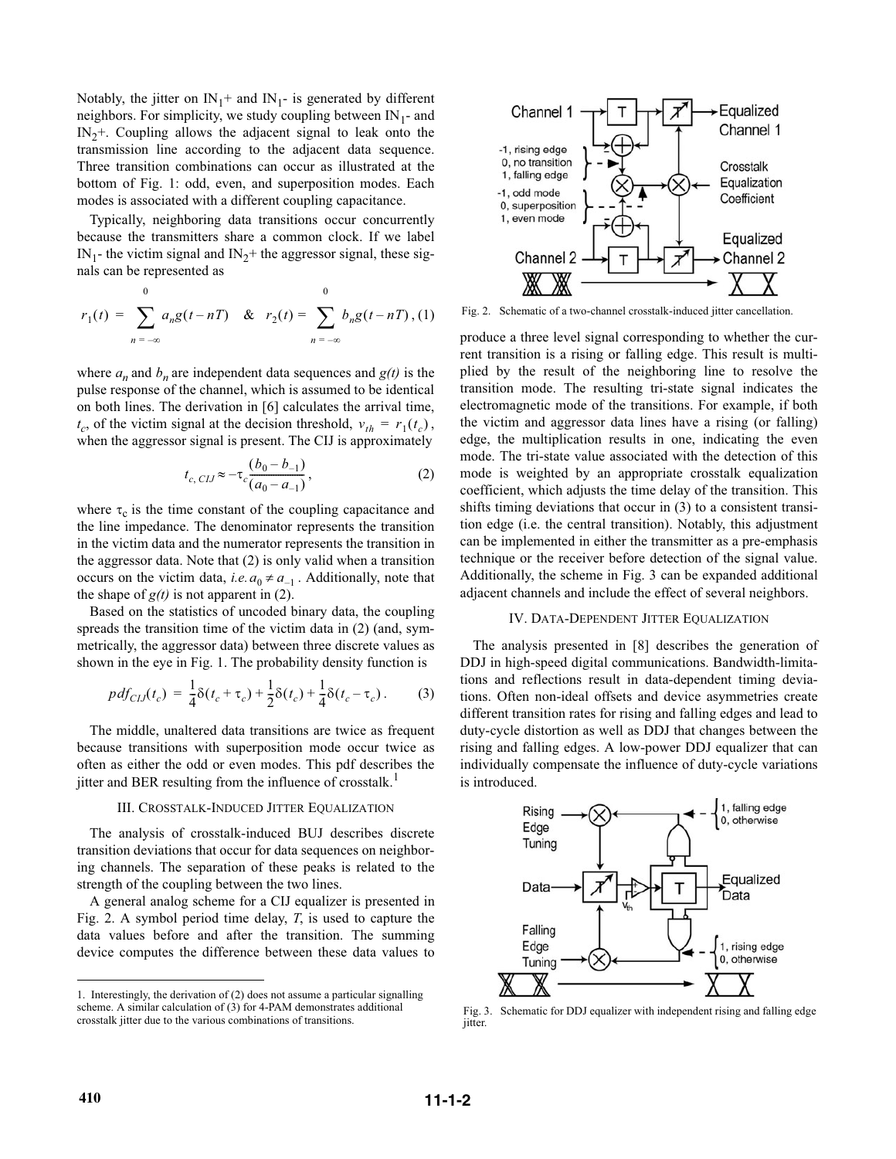Notably, the jitter on  $IN_1$ + and  $IN_1$ - is generated by different neighbors. For simplicity, we study coupling between  $IN_1$ - and  $IN<sub>2</sub>$ +. Coupling allows the adjacent signal to leak onto the transmission line according to the adjacent data sequence. Three transition combinations can occur as illustrated at the bottom of Fig. 1: odd, even, and superposition modes. Each modes is associated with a different coupling capacitance.

Typically, neighboring data transitions occur concurrently because the transmitters share a common clock. If we label IN<sub>1</sub>- the victim signal and IN<sub>2</sub>+ the aggressor signal, these signals can be represented as

$$
r_1(t) = \sum_{n = -\infty}^{0} a_n g(t - nT) \& r_2(t) = \sum_{n = -\infty}^{0} b_n g(t - nT), (1)
$$

where  $a_n$  and  $b_n$  are independent data sequences and  $g(t)$  is the pulse response of the channel, which is assumed to be identical on both lines. The derivation in [6] calculates the arrival time,  $t_c$ , of the victim signal at the decision threshold,  $v_{th} = r_1(t_c)$ , when the aggressor signal is present. The CII is approximately when the aggressor signal is present. The CIJ is approximately

$$
t_{c,\;CLJ} \approx -\tau_c \frac{(b_0 - b_{-1})}{(a_0 - a_{-1})},\tag{2}
$$

where  $\tau_c$  is the time constant of the coupling capacitance and the line impedance. The denominator represents the transition in the victim data and the numerator represents the transition in the aggressor data. Note that (2) is only valid when a transition occurs on the victim data, *i.e.*  $a_0 \neq a_{-1}$ . Additionally, note that the shape of  $\alpha(t)$  is not apparent in (2) the shape of  $g(t)$  is not apparent in (2).

Based on the statistics of uncoded binary data, the coupling spreads the transition time of the victim data in (2) (and, symmetrically, the aggressor data) between three discrete values as shown in the eye in Fig. 1. The probability density function is

$$
pdf_{CLJ}(t_c) = \frac{1}{4}\delta(t_c + \tau_c) + \frac{1}{2}\delta(t_c) + \frac{1}{4}\delta(t_c - \tau_c).
$$
 (3)

The middle, unaltered data transitions are twice as frequent because transitions with superposition mode occur twice as often as either the odd or even modes. This pdf describes the jitter and BER resulting from the influence of crosstalk.<sup>1</sup>

#### III. CROSSTALK-INDUCED JITTER EQUALIZATION

The analysis of crosstalk-induced BUJ describes discrete transition deviations that occur for data sequences on neighboring channels. The separation of these peaks is related to the strength of the coupling between the two lines.

A general analog scheme for a CIJ equalizer is presented in Fig. 2. A symbol period time delay, *T*, is used to capture the data values before and after the transition. The summing device computes the difference between these data values to



Fig. 2. Schematic of a two-channel crosstalk-induced jitter cancellation.

produce a three level signal corresponding to whether the current transition is a rising or falling edge. This result is multiplied by the result of the neighboring line to resolve the transition mode. The resulting tri-state signal indicates the electromagnetic mode of the transitions. For example, if both the victim and aggressor data lines have a rising (or falling) edge, the multiplication results in one, indicating the even mode. The tri-state value associated with the detection of this mode is weighted by an appropriate crosstalk equalization coefficient, which adjusts the time delay of the transition. This shifts timing deviations that occur in (3) to a consistent transition edge (i.e. the central transition). Notably, this adjustment can be implemented in either the transmitter as a pre-emphasis technique or the receiver before detection of the signal value. Additionally, the scheme in Fig. 3 can be expanded additional adjacent channels and include the effect of several neighbors.

## IV. DATA-DEPENDENT JITTER EQUALIZATION

The analysis presented in [8] describes the generation of DDJ in high-speed digital communications. Bandwidth-limitations and reflections result in data-dependent timing deviations. Often non-ideal offsets and device asymmetries create different transition rates for rising and falling edges and lead to duty-cycle distortion as well as DDJ that changes between the rising and falling edges. A low-power DDJ equalizer that can individually compensate the influence of duty-cycle variations is introduced.



Fig. 3. Schematic for DDJ equalizer with independent rising and falling edge jitter.

<sup>1.</sup> Interestingly, the derivation of (2) does not assume a particular signalling scheme. A similar calculation of (3) for 4-PAM demonstrates additional crosstalk jitter due to the various combinations of transitions.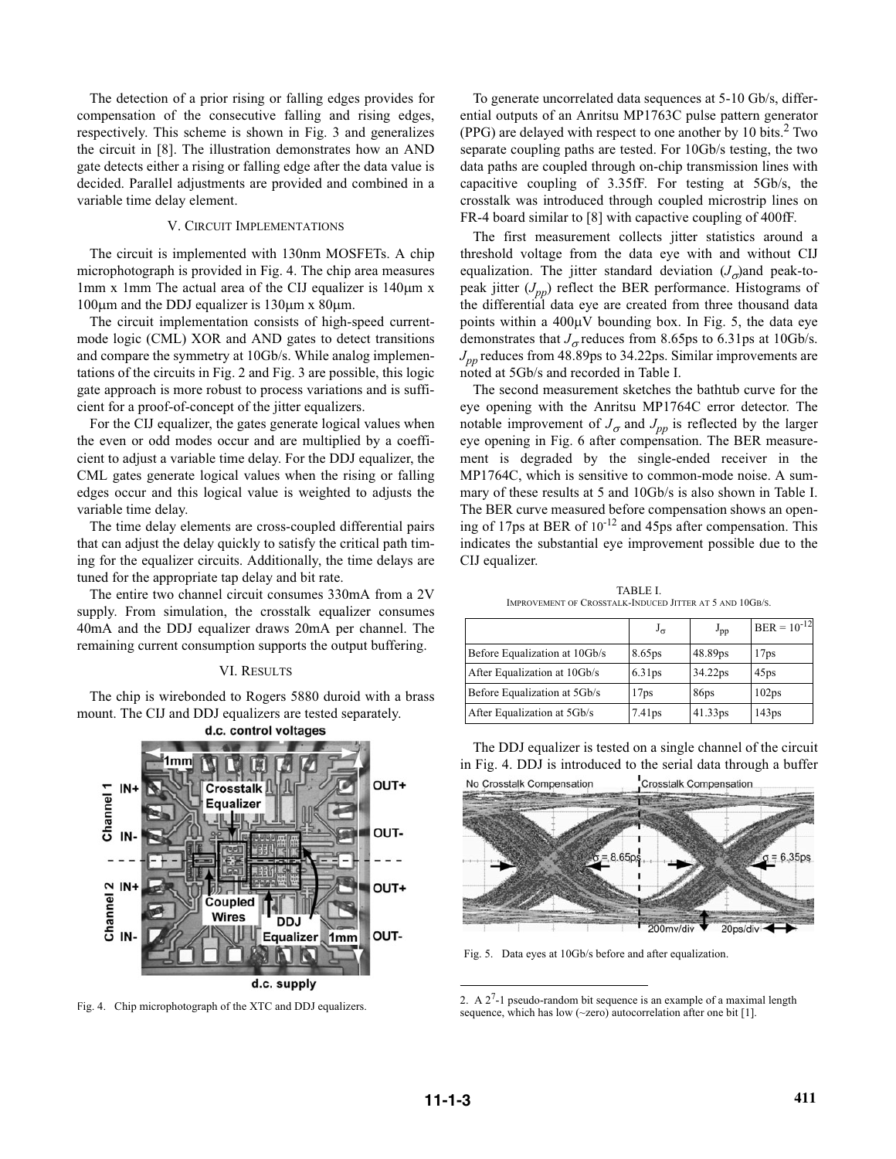The detection of a prior rising or falling edges provides for compensation of the consecutive falling and rising edges, respectively. This scheme is shown in Fig. 3 and generalizes the circuit in [8]. The illustration demonstrates how an AND gate detects either a rising or falling edge after the data value is decided. Parallel adjustments are provided and combined in a variable time delay element.

# V. CIRCUIT IMPLEMENTATIONS

The circuit is implemented with 130nm MOSFETs. A chip microphotograph is provided in Fig. 4. The chip area measures 1mm x 1mm The actual area of the CIJ equalizer is  $140 \mu m$  x  $100\mu$ m and the DDJ equalizer is  $130\mu$ m x  $80\mu$ m.

The circuit implementation consists of high-speed currentmode logic (CML) XOR and AND gates to detect transitions and compare the symmetry at 10Gb/s. While analog implementations of the circuits in Fig. 2 and Fig. 3 are possible, this logic gate approach is more robust to process variations and is sufficient for a proof-of-concept of the jitter equalizers.

For the CIJ equalizer, the gates generate logical values when the even or odd modes occur and are multiplied by a coefficient to adjust a variable time delay. For the DDJ equalizer, the CML gates generate logical values when the rising or falling edges occur and this logical value is weighted to adjusts the variable time delay.

The time delay elements are cross-coupled differential pairs that can adjust the delay quickly to satisfy the critical path timing for the equalizer circuits. Additionally, the time delays are tuned for the appropriate tap delay and bit rate.

The entire two channel circuit consumes 330mA from a 2V supply. From simulation, the crosstalk equalizer consumes 40mA and the DDJ equalizer draws 20mA per channel. The remaining current consumption supports the output buffering.

#### VI. RESULTS

The chip is wirebonded to Rogers 5880 duroid with a brass mount. The CIJ and DDJ equalizers are tested separately.



To generate uncorrelated data sequences at 5-10 Gb/s, differential outputs of an Anritsu MP1763C pulse pattern generator (PPG) are delayed with respect to one another by 10 bits. $2$  Two separate coupling paths are tested. For 10Gb/s testing, the two data paths are coupled through on-chip transmission lines with capacitive coupling of 3.35fF. For testing at 5Gb/s, the crosstalk was introduced through coupled microstrip lines on FR-4 board similar to [8] with capactive coupling of 400fF.

The first measurement collects jitter statistics around a threshold voltage from the data eye with and without CIJ equalization. The jitter standard deviation  $(J_{\sigma})$  and peak-topeak jitter (*Jpp*) reflect the BER performance. Histograms of the differential data eye are created from three thousand data points within a  $400\mu$ V bounding box. In Fig. 5, the data eye demonstrates that  $J_{\sigma}$  reduces from 8.65ps to 6.31ps at 10Gb/s.  $J_{nn}$  reduces from 48.89ps to 34.22ps. Similar improvements are noted at 5Gb/s and recorded in Table I.

The second measurement sketches the bathtub curve for the eye opening with the Anritsu MP1764C error detector. The notable improvement of  $J_{\sigma}$  and  $J_{pp}$  is reflected by the larger eye opening in Fig. 6 after compensation. The BER measurement is degraded by the single-ended receiver in the MP1764C, which is sensitive to common-mode noise. A summary of these results at 5 and 10Gb/s is also shown in Table I. The BER curve measured before compensation shows an opening of 17ps at BER of  $10^{-12}$  and 45ps after compensation. This indicates the substantial eye improvement possible due to the CIJ equalizer.

TABLE I. IMPROVEMENT OF CROSSTALK-INDUCED JITTER AT 5 AND 10GB/S.

|                               | $J_{\sigma}$       | $J_{\text{pp}}$  | $ BER = 10^{-12} $ |
|-------------------------------|--------------------|------------------|--------------------|
| Before Equalization at 10Gb/s | 8.65ps             | 48.89ps          | 17 <sub>ps</sub>   |
| After Equalization at 10Gb/s  | 6.31 <sub>ps</sub> | 34.22ps          | 45 <sub>ps</sub>   |
| Before Equalization at 5Gb/s  | 17 <sub>ps</sub>   | 86 <sub>ps</sub> | 102 <sub>ps</sub>  |
| After Equalization at 5Gb/s   | 7.41 <sub>ps</sub> | 41.33ps          | 143 <sub>ps</sub>  |

The DDJ equalizer is tested on a single channel of the circuit in Fig. 4. DDJ is introduced to the serial data through a buffer No Crosstalk Compensation **Crosstalk Compensation** 



Fig. 5. Data eyes at 10Gb/s before and after equalization.

Fig. 4. Chip microphotograph of the XTC and DDJ equalizers. 2. A  $2^7$ -1 pseudo-random bit sequence is an example of a maximal length  $2. A 2^7$ -1 pseudo-random bit sequence is an example of a maximal length sequence, which has low (~zero) autocorrelation after one bit [1].